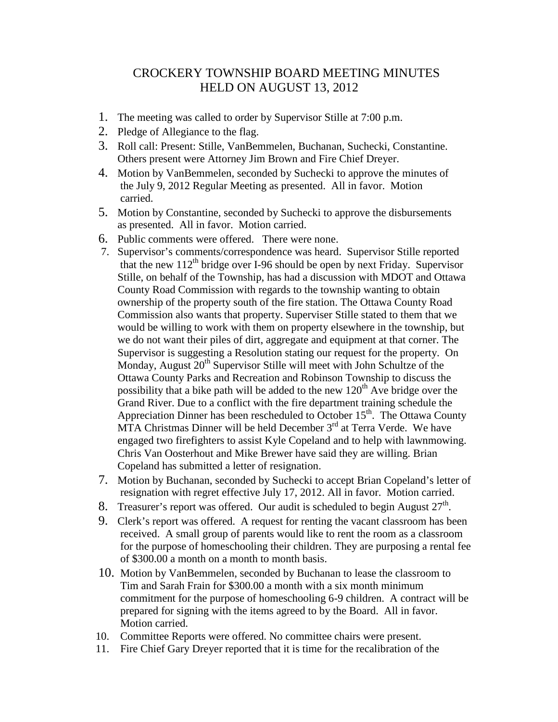## CROCKERY TOWNSHIP BOARD MEETING MINUTES HELD ON AUGUST 13, 2012

- 1. The meeting was called to order by Supervisor Stille at 7:00 p.m.
- 2. Pledge of Allegiance to the flag.
- 3. Roll call: Present: Stille, VanBemmelen, Buchanan, Suchecki, Constantine. Others present were Attorney Jim Brown and Fire Chief Dreyer.
- 4. Motion by VanBemmelen, seconded by Suchecki to approve the minutes of the July 9, 2012 Regular Meeting as presented. All in favor. Motion carried.
- 5. Motion by Constantine, seconded by Suchecki to approve the disbursements as presented. All in favor. Motion carried.
- 6. Public comments were offered. There were none.
- 7. Supervisor's comments/correspondence was heard. Supervisor Stille reported that the new  $112^{th}$  bridge over I-96 should be open by next Friday. Supervisor Stille, on behalf of the Township, has had a discussion with MDOT and Ottawa County Road Commission with regards to the township wanting to obtain ownership of the property south of the fire station. The Ottawa County Road Commission also wants that property. Superviser Stille stated to them that we would be willing to work with them on property elsewhere in the township, but we do not want their piles of dirt, aggregate and equipment at that corner. The Supervisor is suggesting a Resolution stating our request for the property. On Monday, August  $20<sup>th</sup>$  Supervisor Stille will meet with John Schultze of the Ottawa County Parks and Recreation and Robinson Township to discuss the possibility that a bike path will be added to the new  $120<sup>th</sup>$  Ave bridge over the Grand River. Due to a conflict with the fire department training schedule the Appreciation Dinner has been rescheduled to October  $15<sup>th</sup>$ . The Ottawa County  $MTA$  Christmas Dinner will be held December  $3<sup>rd</sup>$  at Terra Verde. We have engaged two firefighters to assist Kyle Copeland and to help with lawnmowing. Chris Van Oosterhout and Mike Brewer have said they are willing. Brian Copeland has submitted a letter of resignation.
- 7. Motion by Buchanan, seconded by Suchecki to accept Brian Copeland's letter of resignation with regret effective July 17, 2012. All in favor. Motion carried.
- 8. Treasurer's report was offered. Our audit is scheduled to begin August  $27<sup>th</sup>$ .
- 9. Clerk's report was offered. A request for renting the vacant classroom has been received. A small group of parents would like to rent the room as a classroom for the purpose of homeschooling their children. They are purposing a rental fee of \$300.00 a month on a month to month basis.
- 10. Motion by VanBemmelen, seconded by Buchanan to lease the classroom to Tim and Sarah Frain for \$300.00 a month with a six month minimum commitment for the purpose of homeschooling 6-9 children. A contract will be prepared for signing with the items agreed to by the Board. All in favor. Motion carried.
- 10. Committee Reports were offered. No committee chairs were present.
- 11. Fire Chief Gary Dreyer reported that it is time for the recalibration of the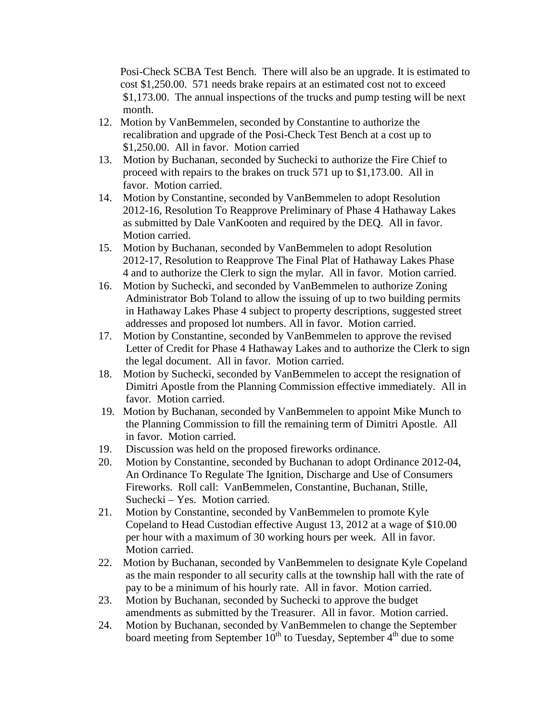Posi-Check SCBA Test Bench. There will also be an upgrade. It is estimated to cost \$1,250.00. 571 needs brake repairs at an estimated cost not to exceed \$1,173.00. The annual inspections of the trucks and pump testing will be next month.

- 12. Motion by VanBemmelen, seconded by Constantine to authorize the recalibration and upgrade of the Posi-Check Test Bench at a cost up to \$1,250.00. All in favor. Motion carried
- 13. Motion by Buchanan, seconded by Suchecki to authorize the Fire Chief to proceed with repairs to the brakes on truck 571 up to \$1,173.00. All in favor. Motion carried.
- 14. Motion by Constantine, seconded by VanBemmelen to adopt Resolution 2012-16, Resolution To Reapprove Preliminary of Phase 4 Hathaway Lakes as submitted by Dale VanKooten and required by the DEQ. All in favor. Motion carried.
- 15. Motion by Buchanan, seconded by VanBemmelen to adopt Resolution 2012-17, Resolution to Reapprove The Final Plat of Hathaway Lakes Phase 4 and to authorize the Clerk to sign the mylar. All in favor. Motion carried.
- 16. Motion by Suchecki, and seconded by VanBemmelen to authorize Zoning Administrator Bob Toland to allow the issuing of up to two building permits in Hathaway Lakes Phase 4 subject to property descriptions, suggested street addresses and proposed lot numbers. All in favor. Motion carried.
- 17. Motion by Constantine, seconded by VanBemmelen to approve the revised Letter of Credit for Phase 4 Hathaway Lakes and to authorize the Clerk to sign the legal document. All in favor. Motion carried.
- 18. Motion by Suchecki, seconded by VanBemmelen to accept the resignation of Dimitri Apostle from the Planning Commission effective immediately. All in favor. Motion carried.
- 19. Motion by Buchanan, seconded by VanBemmelen to appoint Mike Munch to the Planning Commission to fill the remaining term of Dimitri Apostle. All in favor. Motion carried.
- 19. Discussion was held on the proposed fireworks ordinance.
- 20. Motion by Constantine, seconded by Buchanan to adopt Ordinance 2012-04, An Ordinance To Regulate The Ignition, Discharge and Use of Consumers Fireworks. Roll call: VanBemmelen, Constantine, Buchanan, Stille, Suchecki – Yes. Motion carried.
- 21. Motion by Constantine, seconded by VanBemmelen to promote Kyle Copeland to Head Custodian effective August 13, 2012 at a wage of \$10.00 per hour with a maximum of 30 working hours per week. All in favor. Motion carried.
- 22. Motion by Buchanan, seconded by VanBemmelen to designate Kyle Copeland as the main responder to all security calls at the township hall with the rate of pay to be a minimum of his hourly rate. All in favor. Motion carried.
- 23. Motion by Buchanan, seconded by Suchecki to approve the budget amendments as submitted by the Treasurer. All in favor. Motion carried.
- 24. Motion by Buchanan, seconded by VanBemmelen to change the September board meeting from September  $10^{th}$  to Tuesday, September  $4^{th}$  due to some